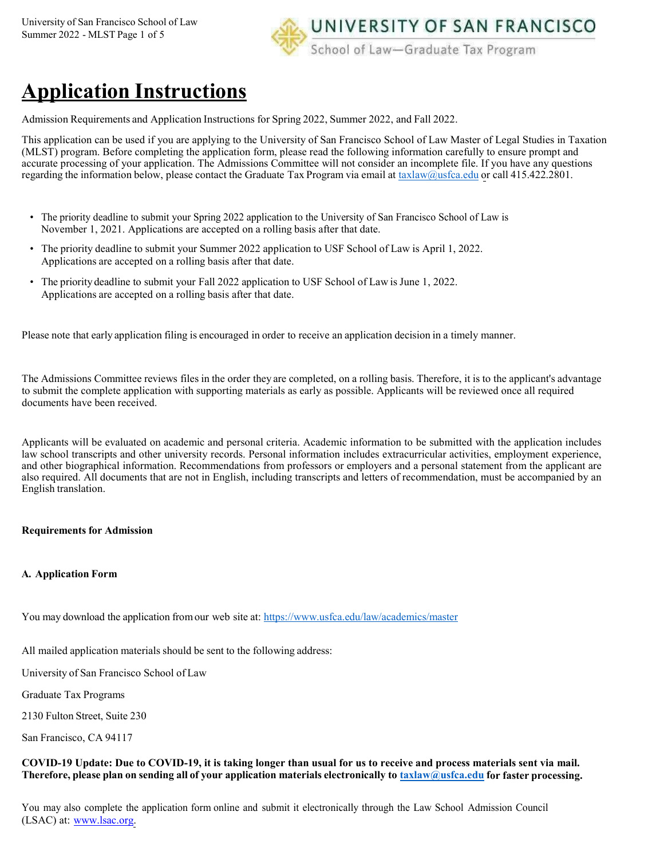

# **Application Instructions**

Admission Requirements and Application Instructions for Spring 2022, Summer 2022, and Fall 2022.

This application can be used if you are applying to the University of San Francisco School of Law Master of Legal Studies in Taxation (MLST) program. Before completing the application form, please read the following information carefully to ensure prompt and accurate processing of your application. The Admissions Committee will not consider an incomplete file. If you have any questions regarding the information below, please contact the Graduate Tax Program via email at [taxlaw@usfca.edu](mailto:taxlaw@usfca.edu) or call 415.422.2801.

- The priority deadline to submit your Spring 2022 application to the University of San Francisco School of Law is November 1, 2021. Applications are accepted on a rolling basis after that date.
- The priority deadline to submit your Summer 2022 application to USF School of Law is April 1, 2022. Applications are accepted on a rolling basis after that date.
- The priority deadline to submit your Fall 2022 application to USF School of Law is June 1, 2022. Applications are accepted on a rolling basis after that date.

Please note that early application filing is encouraged in order to receive an application decision in a timely manner.

The Admissions Committee reviews files in the order they are completed, on a rolling basis. Therefore, it is to the applicant's advantage to submit the complete application with supporting materials as early as possible. Applicants will be reviewed once all required documents have been received.

Applicants will be evaluated on academic and personal criteria. Academic information to be submitted with the application includes law school transcripts and other university records. Personal information includes extracurricular activities, employment experience, and other biographical information. Recommendations from professors or employers and a personal statement from the applicant are also required. All documents that are not in English, including transcripts and letters of recommendation, must be accompanied by an English translation.

# **Requirements for Admission**

# **A. Application Form**

You may download the application from our web site at: <https://www.usfca.edu/law/academics/master>

All mailed application materials should be sent to the following address:

University of San Francisco School of Law

Graduate Tax Programs

2130 Fulton Street, Suite 230

San Francisco, CA 94117

## **COVID-19 Update: Due to COVID-19, it is taking longer than usual for us to receive and process materials sent via mail.** Therefore, please plan on sending all of your application materials electronically to [taxlaw@usfca.edu](mailto:taxlaw@usfca.edu) for faster processing.

You may also complete the application form online and submit it electronically through the Law School Admission Council (LSAC) at: [www.lsac.org.](http://www.lsac.org/)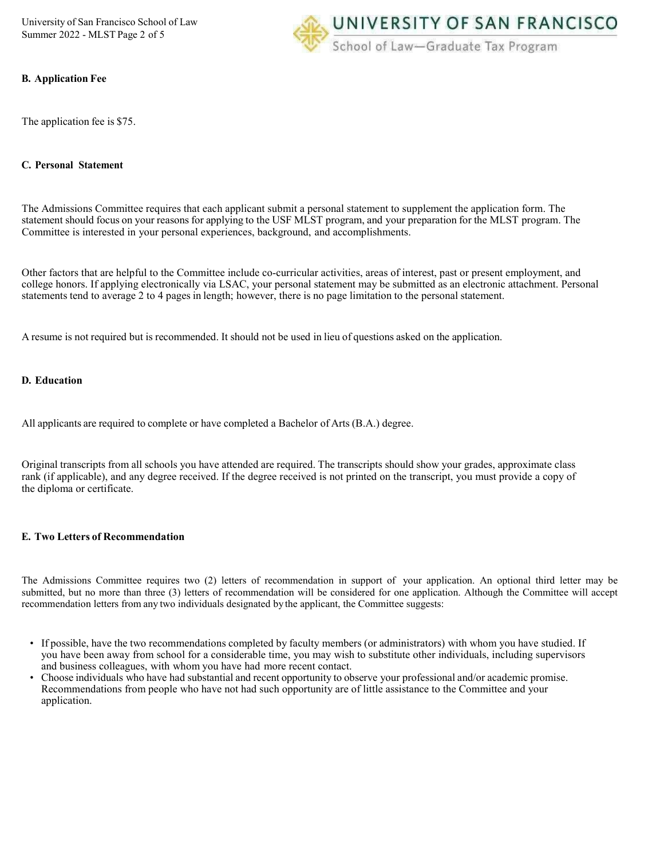University of San Francisco School of Law Summer 2022 - MLST Page 2 of 5



#### **B. Application Fee**

The application fee is \$75.

#### **C. Personal Statement**

The Admissions Committee requires that each applicant submit a personal statement to supplement the application form. The statement should focus on your reasons for applying to the USF MLST program, and your preparation for the MLST program. The Committee is interested in your personal experiences, background, and accomplishments.

Other factors that are helpful to the Committee include co-curricular activities, areas of interest, past or present employment, and college honors. If applying electronically via LSAC, your personal statement may be submitted as an electronic attachment. Personal statements tend to average 2 to 4 pages in length; however, there is no page limitation to the personal statement.

A resume is not required but is recommended. It should not be used in lieu of questions asked on the application.

#### **D. Education**

All applicants are required to complete or have completed a Bachelor of Arts (B.A.) degree.

Original transcripts from all schools you have attended are required. The transcripts should show your grades, approximate class rank (if applicable), and any degree received. If the degree received is not printed on the transcript, you must provide a copy of the diploma or certificate.

#### **E. Two Letters of Recommendation**

The Admissions Committee requires two (2) letters of recommendation in support of your application. An optional third letter may be submitted, but no more than three (3) letters of recommendation will be considered for one application. Although the Committee will accept recommendation letters from any two individuals designated bythe applicant, the Committee suggests:

- If possible, have the two recommendations completed by faculty members (or administrators) with whom you have studied. If you have been away from school for a considerable time, you may wish to substitute other individuals, including supervisors and business colleagues, with whom you have had more recent contact.
- Choose individuals who have had substantial and recent opportunity to observe your professional and/or academic promise. Recommendations from people who have not had such opportunity are of little assistance to the Committee and your application.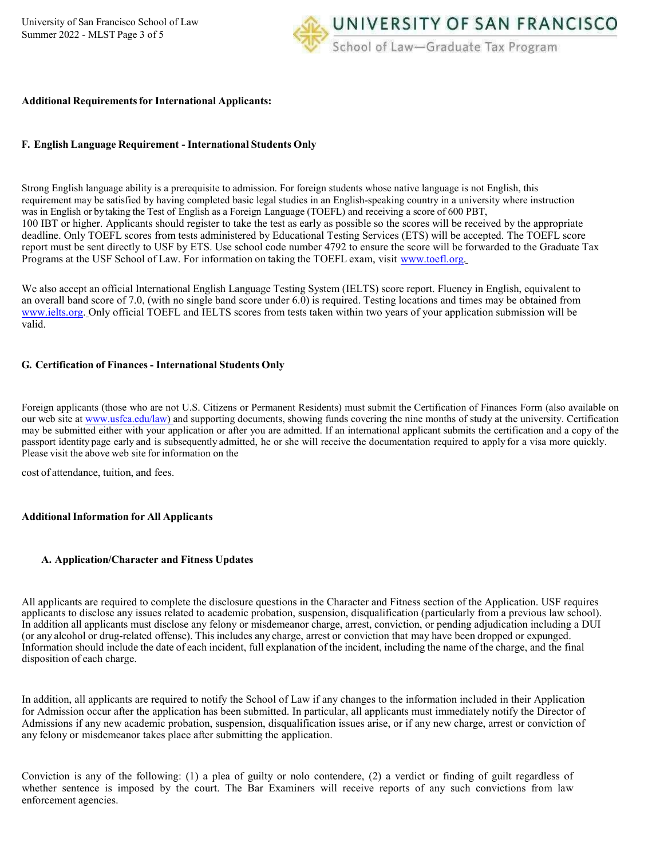

#### **Additional Requirementsfor International Applicants:**

#### **F. English Language Requirement - International Students Only**

Strong English language ability is a prerequisite to admission. For foreign students whose native language is not English, this requirement may be satisfied by having completed basic legal studies in an English-speaking country in a university where instruction was in English or bytaking the Test of English as a Foreign Language (TOEFL) and receiving a score of 600 PBT, 100 IBT or higher. Applicants should register to take the test as early as possible so the scores will be received by the appropriate deadline. Only TOEFL scores from tests administered by Educational Testing Services (ETS) will be accepted. The TOEFL score report must be sent directly to USF by ETS. Use school code number 4792 to ensure the score will be forwarded to the Graduate Tax Programs at the USF School of Law. For information on taking the TOEFL exam, visit [www.toefl.org.](http://www.toefl.org/)

We also accept an official International English Language Testing System (IELTS) score report. Fluency in English, equivalent to an overall band score of 7.0, (with no single band score under 6.0) is required. Testing locations and times may be obtained from [www.ielts.org. O](http://www.ielts.org/)nly official TOEFL and IELTS scores from tests taken within two years of your application submission will be valid.

#### **G. Certification of Finances - International Students Only**

Foreign applicants (those who are not U.S. Citizens or Permanent Residents) must submit the Certification of Finances Form (also available on our web site a[t www.usfca.edu/law\) a](http://www.usfca.edu/law)nd supporting documents, showing funds covering the nine months of study at the university. Certification may be submitted either with your application or after you are admitted. If an international applicant submits the certification and a copy of the passport identity page early and is subsequently admitted, he or she will receive the documentation required to apply for a visa more quickly. Please visit the above web site for information on the

cost of attendance, tuition, and fees.

#### **AdditionalInformation for All Applicants**

#### **A. Application/Character and Fitness Updates**

All applicants are required to complete the disclosure questions in the Character and Fitness section of the Application. USF requires applicants to disclose any issues related to academic probation, suspension, disqualification (particularly from a previous law school). In addition all applicants must disclose any felony or misdemeanor charge, arrest, conviction, or pending adjudication including a DUI (or any alcohol or drug-related offense). This includes any charge, arrest or conviction that may have been dropped or expunged. Information should include the date of each incident, full explanation of the incident, including the name of the charge, and the final disposition of each charge.

In addition, all applicants are required to notify the School of Law if any changes to the information included in their Application for Admission occur after the application has been submitted. In particular, all applicants must immediately notify the Director of Admissions if any new academic probation, suspension, disqualification issues arise, or if any new charge, arrest or conviction of any felony or misdemeanor takes place after submitting the application.

Conviction is any of the following: (1) a plea of guilty or nolo contendere, (2) a verdict or finding of guilt regardless of whether sentence is imposed by the court. The Bar Examiners will receive reports of any such convictions from law enforcement agencies.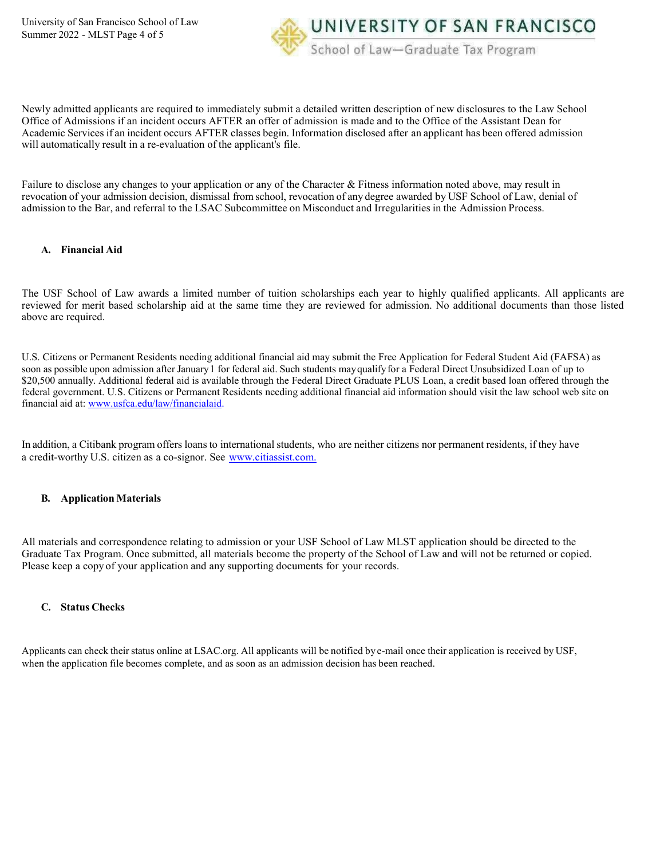UNIVERSITY OF SAN FRANCISCO School of Law-Graduate Tax Program

Newly admitted applicants are required to immediately submit a detailed written description of new disclosures to the Law School Office of Admissions if an incident occurs AFTER an offer of admission is made and to the Office of the Assistant Dean for Academic Services if an incident occurs AFTER classes begin. Information disclosed after an applicant has been offered admission will automatically result in a re-evaluation of the applicant's file.

Failure to disclose any changes to your application or any of the Character & Fitness information noted above, may result in revocation of your admission decision, dismissal from school, revocation of any degree awarded by USF School of Law, denial of admission to the Bar, and referral to the LSAC Subcommittee on Misconduct and Irregularities in the Admission Process.

#### **A. Financial Aid**

The USF School of Law awards a limited number of tuition scholarships each year to highly qualified applicants. All applicants are reviewed for merit based scholarship aid at the same time they are reviewed for admission. No additional documents than those listed above are required.

U.S. Citizens or Permanent Residents needing additional financial aid may submit the Free Application for Federal Student Aid (FAFSA) as soon as possible upon admission after January 1 for federal aid. Such students mayqualifyfor a Federal Direct Unsubsidized Loan of up to \$20,500 annually. Additional federal aid is available through the Federal Direct Graduate PLUS Loan, a credit based loan offered through the federal government. U.S. Citizens or Permanent Residents needing additional financial aid information should visit the law school web site on financial aid at: [www.usfca.edu/law/financialaid.](http://www.usfca.edu/law/financialaid)

In addition, a Citibank program offers loans to international students, who are neither citizens nor permanent residents, if they have a credit-worthy U.S. citizen as a co-signor. See [www.citiassist.com.](http://www.citiassist.com/)

#### **B. Application Materials**

All materials and correspondence relating to admission or your USF School of Law MLST application should be directed to the Graduate Tax Program. Once submitted, all materials become the property of the School of Law and will not be returned or copied. Please keep a copy of your application and any supporting documents for your records.

#### **C. Status Checks**

Applicants can check their status online at [LSAC.org.](https://lsac.org/) All applicants will be notified by e-mail once their application is received by USF, when the application file becomes complete, and as soon as an admission decision has been reached.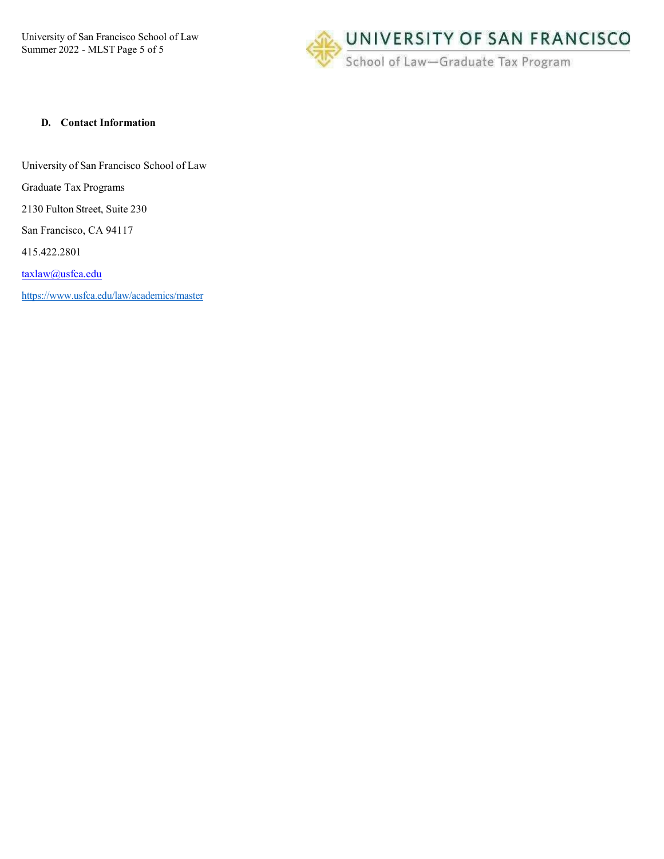University of San Francisco School of Law Summer 2022 - MLST Page 5 of 5



#### **D. Contact Information**

University of San Francisco School of Law

Graduate Tax Programs

2130 Fulton Street, Suite 230

San Francisco, CA 94117

415.422.2801

[taxlaw@usfca.edu](mailto:nrfastabend@usfca.edu)

<https://www.usfca.edu/law/academics/master>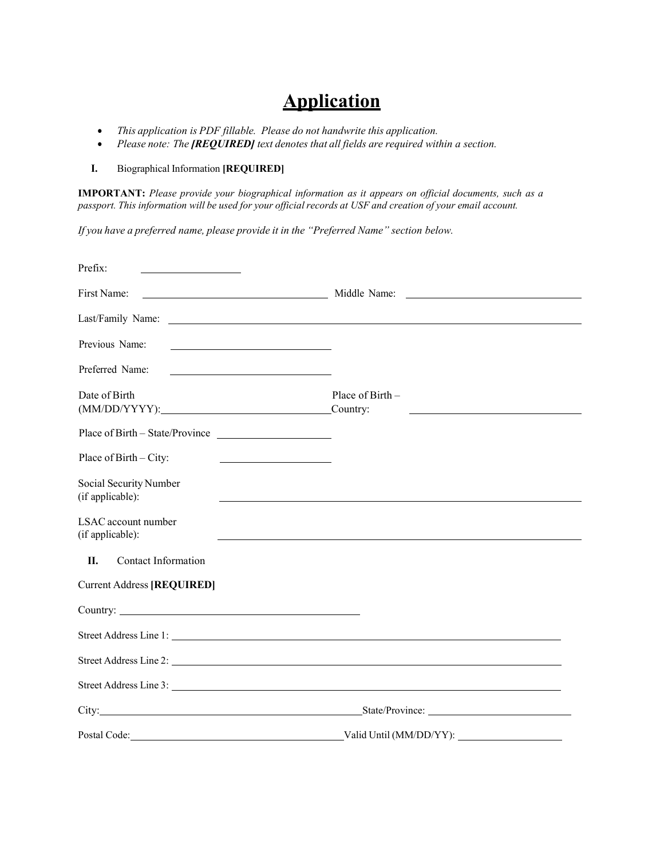# **Application**

- *This application is PDF fillable. Please do not handwrite this application.*
- *Please note: The [REQUIRED] text denotes that all fields are required within a section.*

### **I.** Biographical Information **[REQUIRED]**

**IMPORTANT:** *Please provide your biographical information as it appears on official documents, such as a*  passport. This information will be used for your official records at USF and creation of your email account.

*If you have a preferred name, please provide it in the "Preferred Name" section below.*

| Prefix:                                                                                                                             |                                                                            |
|-------------------------------------------------------------------------------------------------------------------------------------|----------------------------------------------------------------------------|
| First Name:                                                                                                                         | Middle Name:<br><u> 1989 - Andrea Station Barbara, politik a politik (</u> |
| Last/Family Name:                                                                                                                   | <u> 1980 - Johann Barn, fransk politik fotograf (d. 1980)</u>              |
| Previous Name:<br><u> 1989 - Johann Stein, mars an de Brazilian (b. 1989)</u>                                                       |                                                                            |
| Preferred Name:                                                                                                                     |                                                                            |
| Date of Birth                                                                                                                       | Place of Birth $-$                                                         |
| Place of Birth - State/Province                                                                                                     |                                                                            |
| Place of Birth $-$ City:<br><u> 1989 - Johann Barbara, martin a</u>                                                                 |                                                                            |
| Social Security Number<br>(if applicable):                                                                                          |                                                                            |
| LSAC account number<br>(if applicable):                                                                                             | <u> 1989 - Johann Stoff, amerikansk politiker (* 1908)</u>                 |
| Contact Information<br>II.                                                                                                          |                                                                            |
| <b>Current Address [REQUIRED]</b>                                                                                                   |                                                                            |
|                                                                                                                                     |                                                                            |
|                                                                                                                                     |                                                                            |
|                                                                                                                                     |                                                                            |
|                                                                                                                                     |                                                                            |
|                                                                                                                                     | City: State/Province: State/Province:                                      |
| Postal Code:<br><u> 1980 - Johann Barn, mars eta bainar eta baina eta baina eta baina eta baina eta baina eta baina eta baina e</u> | $\sim$                                                                     |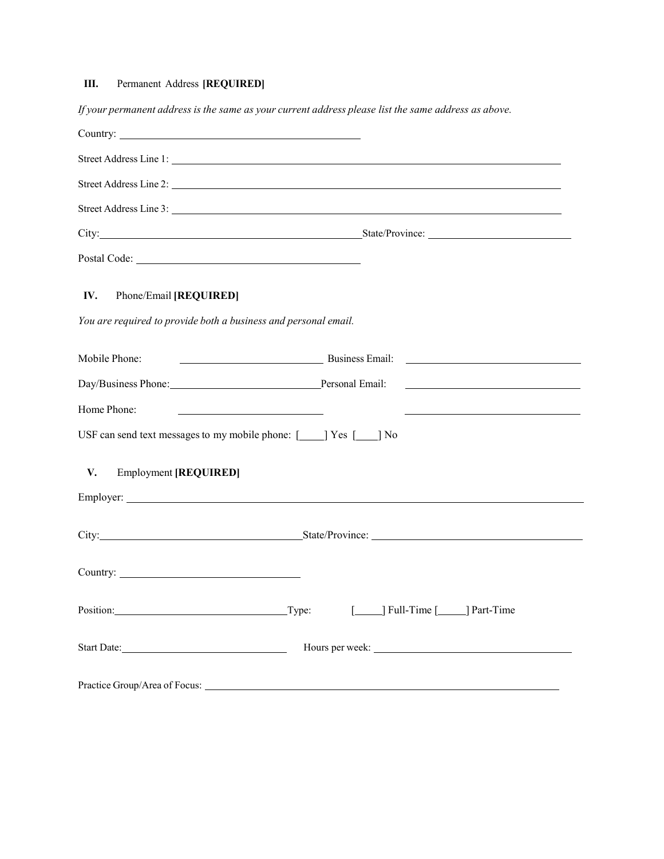# **III.** Permanent Address **[REQUIRED]**

If your permanent address is the same as your current address please list the same address as above.

|                                                                                                               | Street Address Line 3:                                  |
|---------------------------------------------------------------------------------------------------------------|---------------------------------------------------------|
|                                                                                                               | City: State/Province: State/Province:                   |
|                                                                                                               |                                                         |
| IV.<br>Phone/Email [REQUIRED]                                                                                 |                                                         |
| You are required to provide both a business and personal email.                                               |                                                         |
| Mobile Phone:                                                                                                 | Eusiness Email:                                         |
| Day/Business Phone: Personal Email:                                                                           |                                                         |
| Home Phone:                                                                                                   |                                                         |
| USF can send text messages to my mobile phone: $\lceil \cdot \cdot \rceil$ Yes $\lceil \cdot \cdot \rceil$ No |                                                         |
| V.<br><b>Employment [REQUIRED]</b>                                                                            |                                                         |
|                                                                                                               |                                                         |
|                                                                                                               |                                                         |
|                                                                                                               |                                                         |
|                                                                                                               | Position: Type: Type: Type: I Hull-Time [134] Part-Time |
|                                                                                                               |                                                         |
|                                                                                                               |                                                         |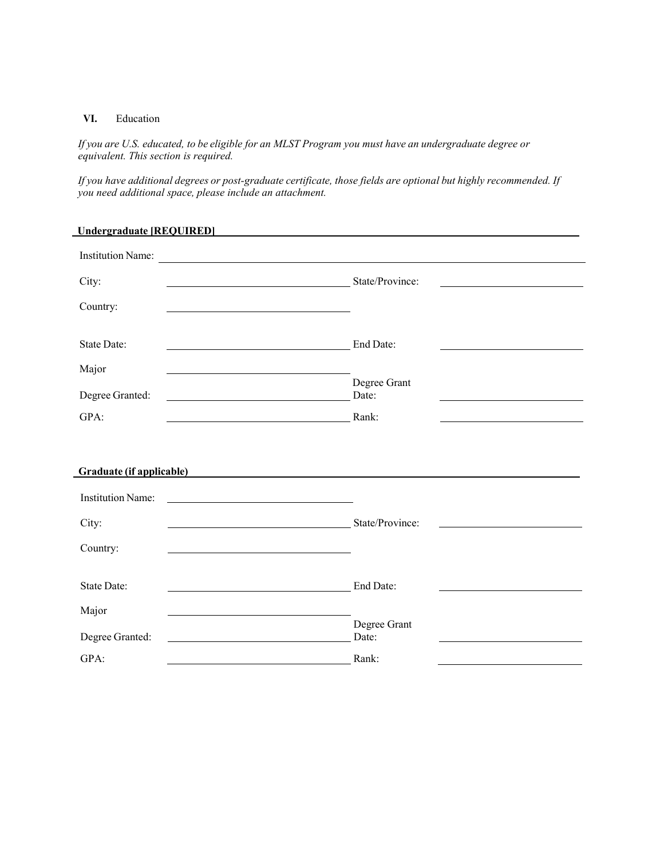#### **VI.** Education

÷

If you are U.S. educated, to be eligible for an MLST Program you must have an undergraduate degree or *equivalent. This section is required.*

If you have additional degrees or post-graduate certificate, those fields are optional but highly recommended. If *you need additional space, please include an attachment.*

| <b>Undergraduate [REQUIRED]</b>                                                 |                                                                                                                                                                                                                                                         |  |  |
|---------------------------------------------------------------------------------|---------------------------------------------------------------------------------------------------------------------------------------------------------------------------------------------------------------------------------------------------------|--|--|
| <b>Institution Name:</b>                                                        |                                                                                                                                                                                                                                                         |  |  |
| State/Province:<br>City:                                                        |                                                                                                                                                                                                                                                         |  |  |
| Country:                                                                        |                                                                                                                                                                                                                                                         |  |  |
| <b>State Date:</b>                                                              | End Date:                                                                                                                                                                                                                                               |  |  |
| Major                                                                           |                                                                                                                                                                                                                                                         |  |  |
| Degree Granted:                                                                 | Degree Grant<br>Date:                                                                                                                                                                                                                                   |  |  |
| GPA:<br><b>Rank:</b>                                                            |                                                                                                                                                                                                                                                         |  |  |
|                                                                                 |                                                                                                                                                                                                                                                         |  |  |
| Graduate (if applicable)                                                        |                                                                                                                                                                                                                                                         |  |  |
| <b>Institution Name:</b>                                                        |                                                                                                                                                                                                                                                         |  |  |
| City:                                                                           | State/Province:<br><u>and the company of the company of the company of the company of the company of the company of the company of the company of the company of the company of the company of the company of the company of the company of the com</u> |  |  |
| Country:                                                                        |                                                                                                                                                                                                                                                         |  |  |
| <b>State Date:</b>                                                              | End Date:                                                                                                                                                                                                                                               |  |  |
|                                                                                 |                                                                                                                                                                                                                                                         |  |  |
| Major                                                                           |                                                                                                                                                                                                                                                         |  |  |
| Degree Granted:<br><u> 1980 - Andrea Stadt Britain, amerikansk politik (</u>    | Degree Grant<br>Date:                                                                                                                                                                                                                                   |  |  |
| $GPA$ :<br><u> 1980 - Johann Barbara, martin da kasar Amerikaansk filosof (</u> | Rank:                                                                                                                                                                                                                                                   |  |  |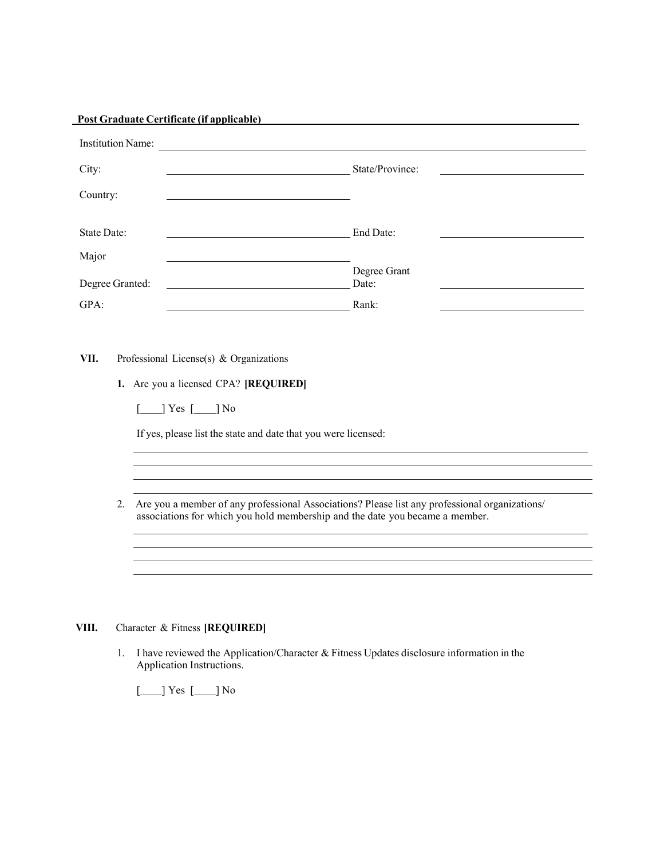| City:<br><u> 1989 - Johann Barnett, fransk politiker (d. 1989)</u><br>Country:<br>State Date:<br>Major<br>Degree Granted:<br>GPA: | State/Province:<br>End Date:                                                                                                                                                   |  |
|-----------------------------------------------------------------------------------------------------------------------------------|--------------------------------------------------------------------------------------------------------------------------------------------------------------------------------|--|
|                                                                                                                                   |                                                                                                                                                                                |  |
|                                                                                                                                   |                                                                                                                                                                                |  |
|                                                                                                                                   |                                                                                                                                                                                |  |
|                                                                                                                                   |                                                                                                                                                                                |  |
|                                                                                                                                   | Degree Grant<br>Date:                                                                                                                                                          |  |
|                                                                                                                                   | Rank:                                                                                                                                                                          |  |
|                                                                                                                                   |                                                                                                                                                                                |  |
| $[\_\]$ Yes $[\_\]$ No<br>If yes, please list the state and date that you were licensed:                                          |                                                                                                                                                                                |  |
| 2.                                                                                                                                | Are you a member of any professional Associations? Please list any professional organizations/<br>associations for which you hold membership and the date you became a member. |  |
|                                                                                                                                   |                                                                                                                                                                                |  |
|                                                                                                                                   |                                                                                                                                                                                |  |

#### 1. I have reviewed the Application/Character & Fitness Updates disclosure information in the Application Instructions.

[*\_\_\_*] Yes [*\_\_\_*] No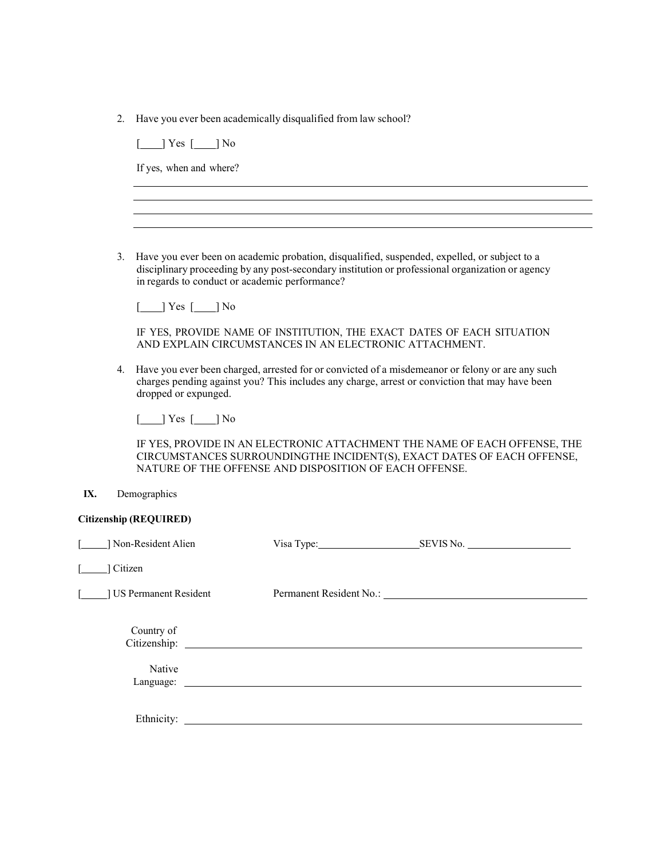2. Have you ever been academically disqualified from law school?

 $[\underline{\hspace{1cm}}]$  Yes  $[\underline{\hspace{1cm}}]$  No

If yes, when and where?

3. Have you ever been on academic probation, disqualified, suspended, expelled, or subject to a disciplinary proceeding by any post-secondary institution or professional organization or agency in regards to conduct or academic performance?

[*\_\_\_*] Yes [*\_\_\_*] No

IF YES, PROVIDE NAME OF INSTITUTION, THE EXACT DATES OF EACH SITUATION AND EXPLAIN CIRCUMSTANCES IN AN ELECTRONIC ATTACHMENT.

4. Have you ever been charged, arrested for or convicted of a misdemeanor or felony or are any such charges pending against you? This includes any charge, arrest or conviction that may have been dropped or expunged.

 $[-]$  Yes  $[-]$  No

IF YES, PROVIDE IN AN ELECTRONIC ATTACHMENT THE NAME OF EACH OFFENSE, THE CIRCUMSTANCES SURROUNDINGTHE INCIDENT(S), EXACT DATES OF EACH OFFENSE, NATURE OF THE OFFENSE AND DISPOSITION OF EACH OFFENSE.

#### **IX.** Demographics

| Citizenship (REQUIRED) |  |  |
|------------------------|--|--|
|------------------------|--|--|

| ] Non-Resident Alien       | Visa Type: Visa Type:                                                                                                      | SEVIS No. |
|----------------------------|----------------------------------------------------------------------------------------------------------------------------|-----------|
| Citizen                    |                                                                                                                            |           |
| US Permanent Resident      |                                                                                                                            |           |
| Country of<br>Citizenship: | <u>and the contract of the contract of the contract of the contract of the contract of the contract of the contract of</u> |           |
| Native<br>Language:        |                                                                                                                            |           |
| Ethnicity:                 |                                                                                                                            |           |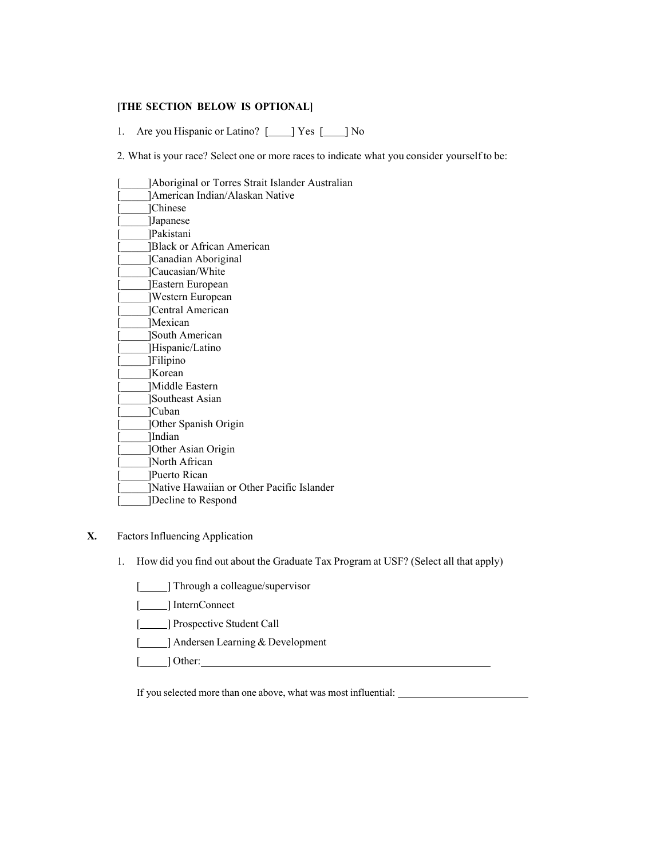#### **[THE SECTION BELOW IS OPTIONAL]**

1. Are you Hispanic or Latino? [188 [188] No

2. What is your race? Select one or more racesto indicate what you consider yourself to be:

| Aboriginal or Torres Strait Islander Australian |
|-------------------------------------------------|
| American Indian/Alaskan Native                  |
| ]Chinese                                        |
| Japanese                                        |
| Pakistani                                       |
| Black or African American                       |
| Canadian Aboriginal                             |
| ]Caucasian/White                                |
| Eastern European                                |
| Western European                                |
| <b>Central American</b>                         |
| Mexican                                         |
| <b>South American</b>                           |
| Hispanic/Latino                                 |
| [Filipino                                       |
| Korean                                          |
| Middle Eastern                                  |
| Southeast Asian                                 |
| ]Cuban                                          |
| <b>Other Spanish Origin</b>                     |
| Indian                                          |
| <b>Other Asian Origin</b>                       |
| North African                                   |
| Puerto Rican                                    |
| Native Hawaiian or Other Pacific Islander       |
| Decline to Respond                              |

#### **X.** Factors Influencing Application

1. How did you find out about the Graduate Tax Program at USF? (Select all that apply)

- [1111] Through a colleague/supervisor
- [*\_\_\_\_*] InternConnect
- [**166**] Prospective Student Call
- [**1993**] Andersen Learning & Development
- [ ] Other:

If you selected more than one above, what was most influential: